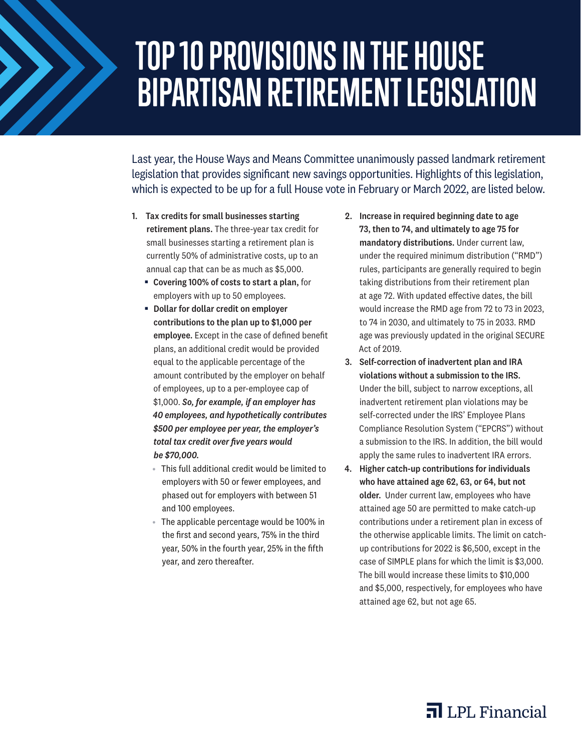## **TOP 10 PROVISIONS IN THE HOUSE BIPARTISAN RETIREMENT LEGISLATION**

Last year, the House Ways and Means Committee unanimously passed landmark retirement legislation that provides significant new savings opportunities. Highlights of this legislation, which is expected to be up for a full House vote in February or March 2022, are listed below.

- 1. Tax credits for small businesses starting retirement plans. The three-year tax credit for small businesses starting a retirement plan is currently 50% of administrative costs, up to an annual cap that can be as much as \$5,000.
	- Covering 100% of costs to start a plan, for employers with up to 50 employees.
	- Dollar for dollar credit on employer contributions to the plan up to \$1,000 per employee. Except in the case of defined benefit plans, an additional credit would be provided equal to the applicable percentage of the amount contributed by the employer on behalf of employees, up to a per-employee cap of \$1,000. *So, for example, if an employer has 40 employees, and hypothetically contributes \$500 per employee per year, the employer's total tax credit over five years would be \$70,000.* 
		- This full additional credit would be limited to employers with 50 or fewer employees, and phased out for employers with between 51 and 100 employees.
		- The applicable percentage would be 100% in the first and second years, 75% in the third year, 50% in the fourth year, 25% in the fifth year, and zero thereafter.
- 2. Increase in required beginning date to age 73, then to 74, and ultimately to age 75 for mandatory distributions. Under current law, under the required minimum distribution ("RMD") rules, participants are generally required to begin taking distributions from their retirement plan at age 72. With updated effective dates, the bill would increase the RMD age from 72 to 73 in 2023, to 74 in 2030, and ultimately to 75 in 2033. RMD age was previously updated in the original SECURE Act of 2019.
- 3. Self-correction of inadvertent plan and IRA violations without a submission to the IRS. Under the bill, subject to narrow exceptions, all inadvertent retirement plan violations may be self-corrected under the IRS' Employee Plans Compliance Resolution System ("EPCRS") without a submission to the IRS. In addition, the bill would apply the same rules to inadvertent IRA errors.
- 4. Higher catch-up contributions for individuals who have attained age 62, 63, or 64, but not older. Under current law, employees who have attained age 50 are permitted to make catch-up contributions under a retirement plan in excess of the otherwise applicable limits. The limit on catchup contributions for 2022 is \$6,500, except in the case of SIMPLE plans for which the limit is \$3,000. The bill would increase these limits to \$10,000 and \$5,000, respectively, for employees who have attained age 62, but not age 65.

## $\overline{\mathbf{a}}$  LPL Financial